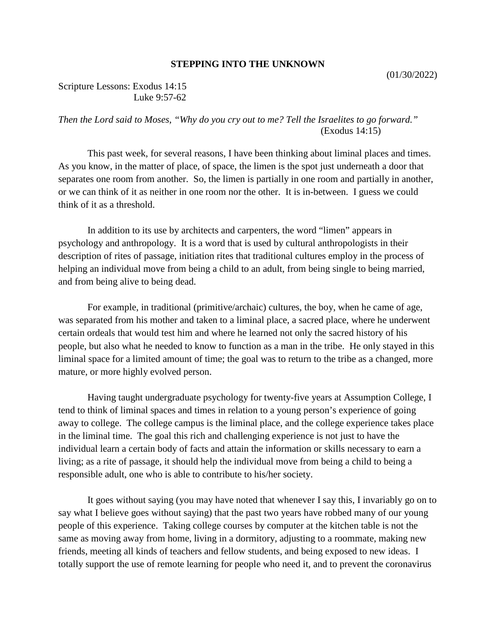## **STEPPING INTO THE UNKNOWN**

## Scripture Lessons: Exodus 14:15 Luke 9:57-62

## *Then the Lord said to Moses, "Why do you cry out to me? Tell the Israelites to go forward."* (Exodus 14:15)

This past week, for several reasons, I have been thinking about liminal places and times. As you know, in the matter of place, of space, the limen is the spot just underneath a door that separates one room from another. So, the limen is partially in one room and partially in another, or we can think of it as neither in one room nor the other. It is in-between. I guess we could think of it as a threshold.

In addition to its use by architects and carpenters, the word "limen" appears in psychology and anthropology. It is a word that is used by cultural anthropologists in their description of rites of passage, initiation rites that traditional cultures employ in the process of helping an individual move from being a child to an adult, from being single to being married, and from being alive to being dead.

For example, in traditional (primitive/archaic) cultures, the boy, when he came of age, was separated from his mother and taken to a liminal place, a sacred place, where he underwent certain ordeals that would test him and where he learned not only the sacred history of his people, but also what he needed to know to function as a man in the tribe. He only stayed in this liminal space for a limited amount of time; the goal was to return to the tribe as a changed, more mature, or more highly evolved person.

Having taught undergraduate psychology for twenty-five years at Assumption College, I tend to think of liminal spaces and times in relation to a young person's experience of going away to college. The college campus is the liminal place, and the college experience takes place in the liminal time. The goal this rich and challenging experience is not just to have the individual learn a certain body of facts and attain the information or skills necessary to earn a living; as a rite of passage, it should help the individual move from being a child to being a responsible adult, one who is able to contribute to his/her society.

It goes without saying (you may have noted that whenever I say this, I invariably go on to say what I believe goes without saying) that the past two years have robbed many of our young people of this experience. Taking college courses by computer at the kitchen table is not the same as moving away from home, living in a dormitory, adjusting to a roommate, making new friends, meeting all kinds of teachers and fellow students, and being exposed to new ideas. I totally support the use of remote learning for people who need it, and to prevent the coronavirus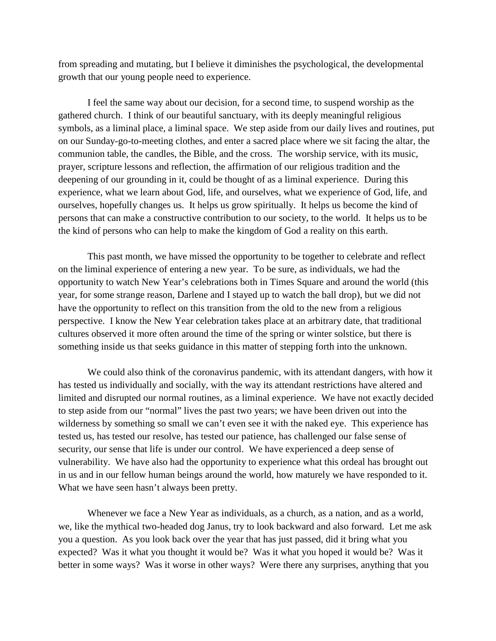from spreading and mutating, but I believe it diminishes the psychological, the developmental growth that our young people need to experience.

I feel the same way about our decision, for a second time, to suspend worship as the gathered church. I think of our beautiful sanctuary, with its deeply meaningful religious symbols, as a liminal place, a liminal space. We step aside from our daily lives and routines, put on our Sunday-go-to-meeting clothes, and enter a sacred place where we sit facing the altar, the communion table, the candles, the Bible, and the cross. The worship service, with its music, prayer, scripture lessons and reflection, the affirmation of our religious tradition and the deepening of our grounding in it, could be thought of as a liminal experience. During this experience, what we learn about God, life, and ourselves, what we experience of God, life, and ourselves, hopefully changes us. It helps us grow spiritually. It helps us become the kind of persons that can make a constructive contribution to our society, to the world. It helps us to be the kind of persons who can help to make the kingdom of God a reality on this earth.

This past month, we have missed the opportunity to be together to celebrate and reflect on the liminal experience of entering a new year. To be sure, as individuals, we had the opportunity to watch New Year's celebrations both in Times Square and around the world (this year, for some strange reason, Darlene and I stayed up to watch the ball drop), but we did not have the opportunity to reflect on this transition from the old to the new from a religious perspective. I know the New Year celebration takes place at an arbitrary date, that traditional cultures observed it more often around the time of the spring or winter solstice, but there is something inside us that seeks guidance in this matter of stepping forth into the unknown.

We could also think of the coronavirus pandemic, with its attendant dangers, with how it has tested us individually and socially, with the way its attendant restrictions have altered and limited and disrupted our normal routines, as a liminal experience. We have not exactly decided to step aside from our "normal" lives the past two years; we have been driven out into the wilderness by something so small we can't even see it with the naked eye. This experience has tested us, has tested our resolve, has tested our patience, has challenged our false sense of security, our sense that life is under our control. We have experienced a deep sense of vulnerability. We have also had the opportunity to experience what this ordeal has brought out in us and in our fellow human beings around the world, how maturely we have responded to it. What we have seen hasn't always been pretty.

Whenever we face a New Year as individuals, as a church, as a nation, and as a world, we, like the mythical two-headed dog Janus, try to look backward and also forward. Let me ask you a question. As you look back over the year that has just passed, did it bring what you expected? Was it what you thought it would be? Was it what you hoped it would be? Was it better in some ways? Was it worse in other ways? Were there any surprises, anything that you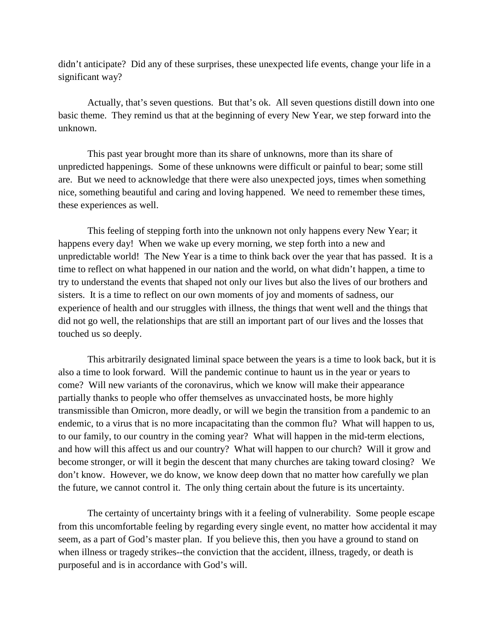didn't anticipate? Did any of these surprises, these unexpected life events, change your life in a significant way?

Actually, that's seven questions. But that's ok. All seven questions distill down into one basic theme. They remind us that at the beginning of every New Year, we step forward into the unknown.

This past year brought more than its share of unknowns, more than its share of unpredicted happenings. Some of these unknowns were difficult or painful to bear; some still are. But we need to acknowledge that there were also unexpected joys, times when something nice, something beautiful and caring and loving happened. We need to remember these times, these experiences as well.

This feeling of stepping forth into the unknown not only happens every New Year; it happens every day! When we wake up every morning, we step forth into a new and unpredictable world! The New Year is a time to think back over the year that has passed. It is a time to reflect on what happened in our nation and the world, on what didn't happen, a time to try to understand the events that shaped not only our lives but also the lives of our brothers and sisters. It is a time to reflect on our own moments of joy and moments of sadness, our experience of health and our struggles with illness, the things that went well and the things that did not go well, the relationships that are still an important part of our lives and the losses that touched us so deeply.

This arbitrarily designated liminal space between the years is a time to look back, but it is also a time to look forward. Will the pandemic continue to haunt us in the year or years to come? Will new variants of the coronavirus, which we know will make their appearance partially thanks to people who offer themselves as unvaccinated hosts, be more highly transmissible than Omicron, more deadly, or will we begin the transition from a pandemic to an endemic, to a virus that is no more incapacitating than the common flu? What will happen to us, to our family, to our country in the coming year? What will happen in the mid-term elections, and how will this affect us and our country? What will happen to our church? Will it grow and become stronger, or will it begin the descent that many churches are taking toward closing? We don't know. However, we do know, we know deep down that no matter how carefully we plan the future, we cannot control it. The only thing certain about the future is its uncertainty.

The certainty of uncertainty brings with it a feeling of vulnerability. Some people escape from this uncomfortable feeling by regarding every single event, no matter how accidental it may seem, as a part of God's master plan. If you believe this, then you have a ground to stand on when illness or tragedy strikes--the conviction that the accident, illness, tragedy, or death is purposeful and is in accordance with God's will.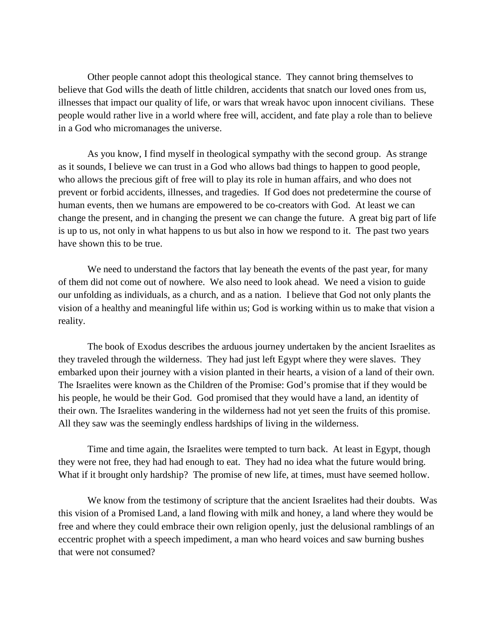Other people cannot adopt this theological stance. They cannot bring themselves to believe that God wills the death of little children, accidents that snatch our loved ones from us, illnesses that impact our quality of life, or wars that wreak havoc upon innocent civilians. These people would rather live in a world where free will, accident, and fate play a role than to believe in a God who micromanages the universe.

As you know, I find myself in theological sympathy with the second group. As strange as it sounds, I believe we can trust in a God who allows bad things to happen to good people, who allows the precious gift of free will to play its role in human affairs, and who does not prevent or forbid accidents, illnesses, and tragedies. If God does not predetermine the course of human events, then we humans are empowered to be co-creators with God. At least we can change the present, and in changing the present we can change the future. A great big part of life is up to us, not only in what happens to us but also in how we respond to it. The past two years have shown this to be true.

We need to understand the factors that lay beneath the events of the past year, for many of them did not come out of nowhere. We also need to look ahead. We need a vision to guide our unfolding as individuals, as a church, and as a nation. I believe that God not only plants the vision of a healthy and meaningful life within us; God is working within us to make that vision a reality.

The book of Exodus describes the arduous journey undertaken by the ancient Israelites as they traveled through the wilderness. They had just left Egypt where they were slaves. They embarked upon their journey with a vision planted in their hearts, a vision of a land of their own. The Israelites were known as the Children of the Promise: God's promise that if they would be his people, he would be their God. God promised that they would have a land, an identity of their own. The Israelites wandering in the wilderness had not yet seen the fruits of this promise. All they saw was the seemingly endless hardships of living in the wilderness.

Time and time again, the Israelites were tempted to turn back. At least in Egypt, though they were not free, they had had enough to eat. They had no idea what the future would bring. What if it brought only hardship? The promise of new life, at times, must have seemed hollow.

We know from the testimony of scripture that the ancient Israelites had their doubts. Was this vision of a Promised Land, a land flowing with milk and honey, a land where they would be free and where they could embrace their own religion openly, just the delusional ramblings of an eccentric prophet with a speech impediment, a man who heard voices and saw burning bushes that were not consumed?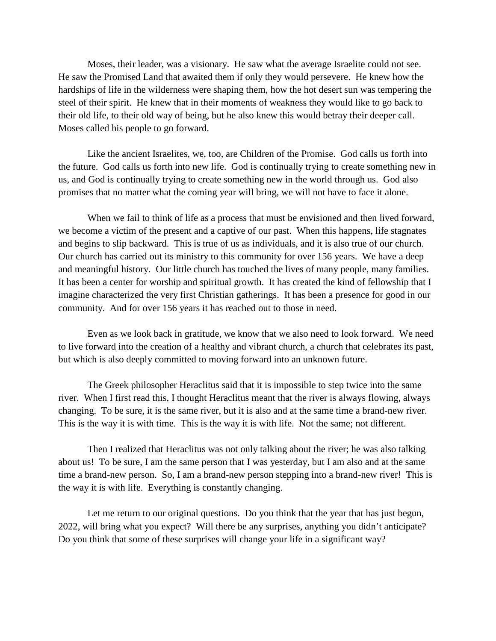Moses, their leader, was a visionary. He saw what the average Israelite could not see. He saw the Promised Land that awaited them if only they would persevere. He knew how the hardships of life in the wilderness were shaping them, how the hot desert sun was tempering the steel of their spirit. He knew that in their moments of weakness they would like to go back to their old life, to their old way of being, but he also knew this would betray their deeper call. Moses called his people to go forward.

Like the ancient Israelites, we, too, are Children of the Promise. God calls us forth into the future. God calls us forth into new life. God is continually trying to create something new in us, and God is continually trying to create something new in the world through us. God also promises that no matter what the coming year will bring, we will not have to face it alone.

When we fail to think of life as a process that must be envisioned and then lived forward, we become a victim of the present and a captive of our past. When this happens, life stagnates and begins to slip backward. This is true of us as individuals, and it is also true of our church. Our church has carried out its ministry to this community for over 156 years. We have a deep and meaningful history. Our little church has touched the lives of many people, many families. It has been a center for worship and spiritual growth. It has created the kind of fellowship that I imagine characterized the very first Christian gatherings. It has been a presence for good in our community. And for over 156 years it has reached out to those in need.

Even as we look back in gratitude, we know that we also need to look forward. We need to live forward into the creation of a healthy and vibrant church, a church that celebrates its past, but which is also deeply committed to moving forward into an unknown future.

The Greek philosopher Heraclitus said that it is impossible to step twice into the same river. When I first read this, I thought Heraclitus meant that the river is always flowing, always changing. To be sure, it is the same river, but it is also and at the same time a brand-new river. This is the way it is with time. This is the way it is with life. Not the same; not different.

Then I realized that Heraclitus was not only talking about the river; he was also talking about us! To be sure, I am the same person that I was yesterday, but I am also and at the same time a brand-new person. So, I am a brand-new person stepping into a brand-new river! This is the way it is with life. Everything is constantly changing.

Let me return to our original questions. Do you think that the year that has just begun, 2022, will bring what you expect? Will there be any surprises, anything you didn't anticipate? Do you think that some of these surprises will change your life in a significant way?